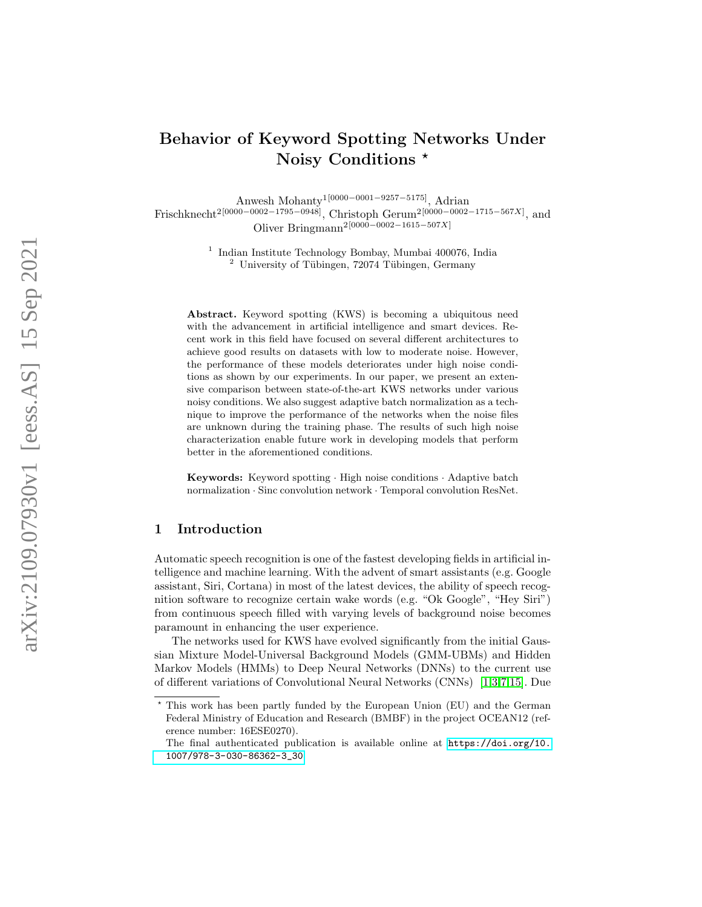# Behavior of Keyword Spotting Networks Under Noisy Conditions \*

Anwesh Mohanty<sup>1[0000–0001–9257–5175]</sup>, Adrian

Frischknecht<sup>2[0000–0002–1795–0948]</sup>, Christoph Gerum<sup>2[0000–0002–1715–567X]</sup>, and Oliver Bringmann<sup>2[0000–0002–1615–507X]</sup>

> 1 Indian Institute Technology Bombay, Mumbai 400076, India  $2$  University of Tübingen, 72074 Tübingen, Germany

Abstract. Keyword spotting (KWS) is becoming a ubiquitous need with the advancement in artificial intelligence and smart devices. Recent work in this field have focused on several different architectures to achieve good results on datasets with low to moderate noise. However, the performance of these models deteriorates under high noise conditions as shown by our experiments. In our paper, we present an extensive comparison between state-of-the-art KWS networks under various noisy conditions. We also suggest adaptive batch normalization as a technique to improve the performance of the networks when the noise files are unknown during the training phase. The results of such high noise characterization enable future work in developing models that perform better in the aforementioned conditions.

Keywords: Keyword spotting · High noise conditions · Adaptive batch normalization · Sinc convolution network · Temporal convolution ResNet.

## 1 Introduction

Automatic speech recognition is one of the fastest developing fields in artificial intelligence and machine learning. With the advent of smart assistants (e.g. Google assistant, Siri, Cortana) in most of the latest devices, the ability of speech recognition software to recognize certain wake words (e.g. "Ok Google", "Hey Siri") from continuous speech filled with varying levels of background noise becomes paramount in enhancing the user experience.

The networks used for KWS have evolved significantly from the initial Gaussian Mixture Model-Universal Background Models (GMM-UBMs) and Hidden Markov Models (HMMs) to Deep Neural Networks (DNNs) to the current use of different variations of Convolutional Neural Networks (CNNs) [\[1](#page-9-0)[,3,](#page-9-1)[7,](#page-9-2)[15\]](#page-10-0). Due

<sup>?</sup> This work has been partly funded by the European Union (EU) and the German Federal Ministry of Education and Research (BMBF) in the project OCEAN12 (reference number: 16ESE0270).

The final authenticated publication is available online at [https://doi.org/10.](https://doi.org/10.1007/978-3-030-86362-3_30) [1007/978-3-030-86362-3\\_30](https://doi.org/10.1007/978-3-030-86362-3_30)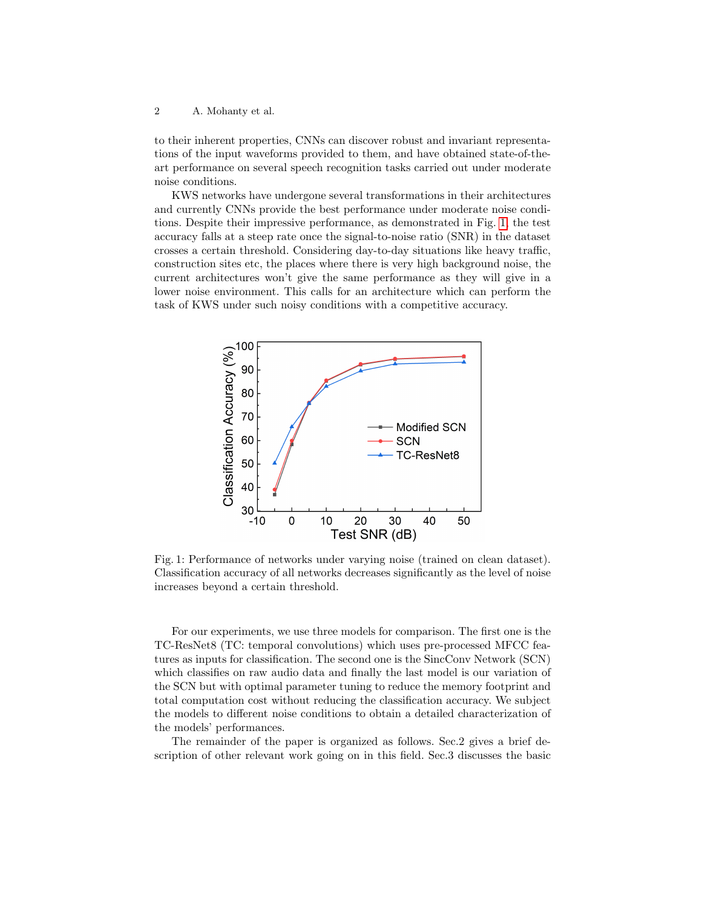to their inherent properties, CNNs can discover robust and invariant representations of the input waveforms provided to them, and have obtained state-of-theart performance on several speech recognition tasks carried out under moderate noise conditions.

KWS networks have undergone several transformations in their architectures and currently CNNs provide the best performance under moderate noise conditions. Despite their impressive performance, as demonstrated in Fig. [1,](#page-1-0) the test accuracy falls at a steep rate once the signal-to-noise ratio (SNR) in the dataset crosses a certain threshold. Considering day-to-day situations like heavy traffic, construction sites etc, the places where there is very high background noise, the current architectures won't give the same performance as they will give in a lower noise environment. This calls for an architecture which can perform the task of KWS under such noisy conditions with a competitive accuracy.

<span id="page-1-0"></span>

Fig. 1: Performance of networks under varying noise (trained on clean dataset). Classification accuracy of all networks decreases significantly as the level of noise increases beyond a certain threshold.

For our experiments, we use three models for comparison. The first one is the TC-ResNet8 (TC: temporal convolutions) which uses pre-processed MFCC features as inputs for classification. The second one is the SincConv Network (SCN) which classifies on raw audio data and finally the last model is our variation of the SCN but with optimal parameter tuning to reduce the memory footprint and total computation cost without reducing the classification accuracy. We subject the models to different noise conditions to obtain a detailed characterization of the models' performances.

The remainder of the paper is organized as follows. Sec.2 gives a brief description of other relevant work going on in this field. Sec.3 discusses the basic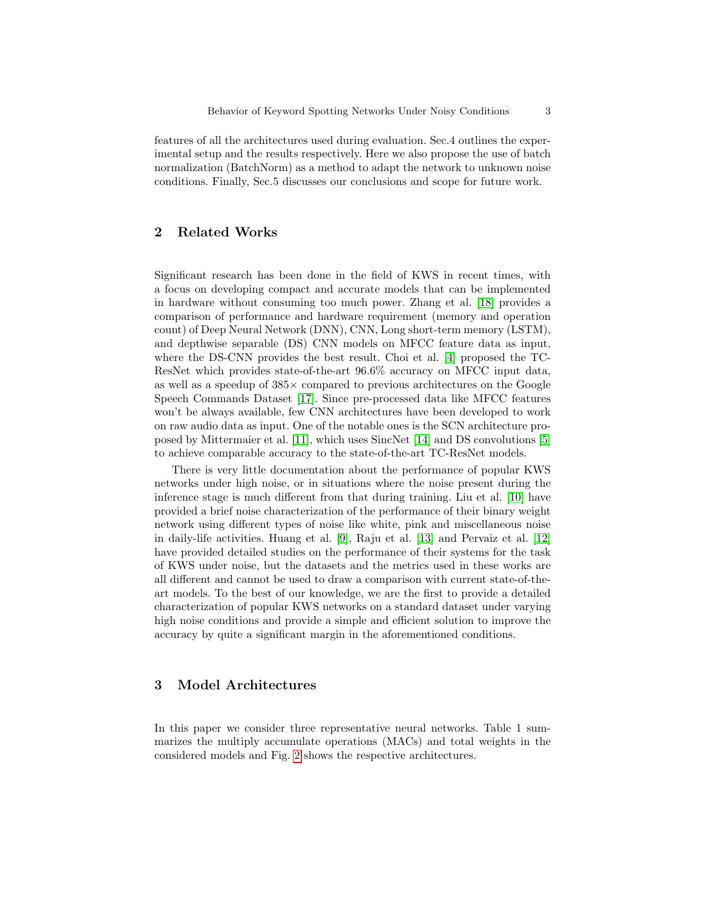features of all the architectures used during evaluation. Sec.4 outlines the experimental setup and the results respectively. Here we also propose the use of batch normalization (BatchNorm) as a method to adapt the network to unknown noise conditions. Finally, Sec.5 discusses our conclusions and scope for future work.

## 2 Related Works

Significant research has been done in the field of KWS in recent times, with a focus on developing compact and accurate models that can be implemented in hardware without consuming too much power. Zhang et al. [\[18\]](#page-10-1) provides a comparison of performance and hardware requirement (memory and operation count) of Deep Neural Network (DNN), CNN, Long short-term memory (LSTM), and depthwise separable (DS) CNN models on MFCC feature data as input, where the DS-CNN provides the best result. Choi et al. [\[4\]](#page-9-3) proposed the TC-ResNet which provides state-of-the-art 96.6% accuracy on MFCC input data, as well as a speedup of  $385\times$  compared to previous architectures on the Google Speech Commands Dataset [\[17\]](#page-10-2). Since pre-processed data like MFCC features won't be always available, few CNN architectures have been developed to work on raw audio data as input. One of the notable ones is the SCN architecture proposed by Mittermaier et al. [\[11\]](#page-9-4), which uses SincNet [\[14\]](#page-10-3) and DS convolutions [\[5\]](#page-9-5) to achieve comparable accuracy to the state-of-the-art TC-ResNet models.

There is very little documentation about the performance of popular KWS networks under high noise, or in situations where the noise present during the inference stage is much different from that during training. Liu et al. [\[10\]](#page-9-6) have provided a brief noise characterization of the performance of their binary weight network using different types of noise like white, pink and miscellaneous noise in daily-life activities. Huang et al. [\[9\]](#page-9-7), Raju et al. [\[13\]](#page-9-8) and Pervaiz et al. [\[12\]](#page-9-9) have provided detailed studies on the performance of their systems for the task of KWS under noise, but the datasets and the metrics used in these works are all different and cannot be used to draw a comparison with current state-of-theart models. To the best of our knowledge, we are the first to provide a detailed characterization of popular KWS networks on a standard dataset under varying high noise conditions and provide a simple and efficient solution to improve the accuracy by quite a significant margin in the aforementioned conditions.

## 3 Model Architectures

In this paper we consider three representative neural networks. Table 1 summarizes the multiply accumulate operations (MACs) and total weights in the considered models and Fig. [2](#page-3-0) shows the respective architectures.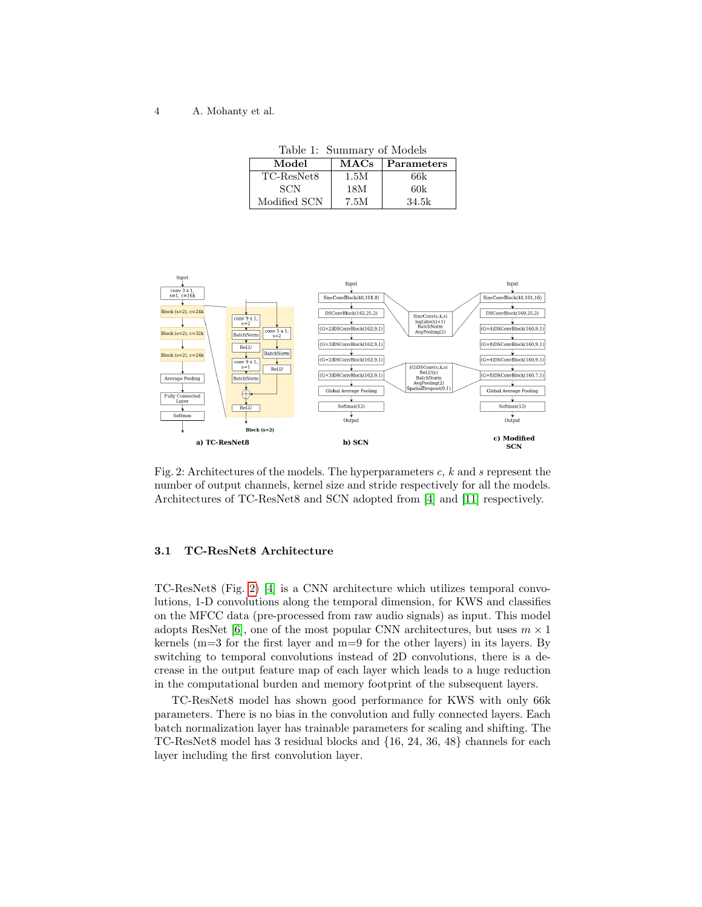Table 1: Summary of Models

<span id="page-3-1"></span>

| Model        | MACs | <b>Parameters</b> |
|--------------|------|-------------------|
| TC-ResNet8   | 1.5M | 66k               |
| SCN          | 18M  | 60k               |
| Modified SCN | 7.5M | 34.5k             |

<span id="page-3-0"></span>

Fig. 2: Architectures of the models. The hyperparameters  $c, k$  and s represent the number of output channels, kernel size and stride respectively for all the models. Architectures of TC-ResNet8 and SCN adopted from [\[4\]](#page-9-3) and [\[11\]](#page-9-4) respectively.

#### 3.1 TC-ResNet8 Architecture

TC-ResNet8 (Fig. [2\)](#page-3-0) [\[4\]](#page-9-3) is a CNN architecture which utilizes temporal convolutions, 1-D convolutions along the temporal dimension, for KWS and classifies on the MFCC data (pre-processed from raw audio signals) as input. This model adopts ResNet [\[6\]](#page-9-10), one of the most popular CNN architectures, but uses  $m \times 1$ kernels (m=3 for the first layer and m=9 for the other layers) in its layers. By switching to temporal convolutions instead of 2D convolutions, there is a decrease in the output feature map of each layer which leads to a huge reduction in the computational burden and memory footprint of the subsequent layers.

TC-ResNet8 model has shown good performance for KWS with only 66k parameters. There is no bias in the convolution and fully connected layers. Each batch normalization layer has trainable parameters for scaling and shifting. The TC-ResNet8 model has 3 residual blocks and {16, 24, 36, 48} channels for each layer including the first convolution layer.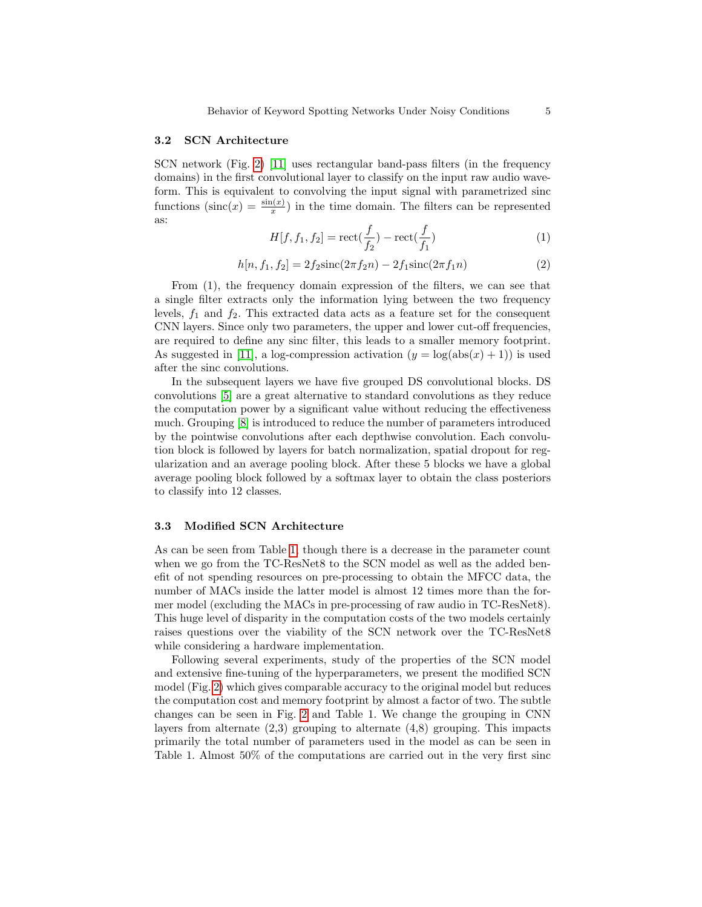#### 3.2 SCN Architecture

SCN network (Fig. [2\)](#page-3-0) [\[11\]](#page-9-4) uses rectangular band-pass filters (in the frequency domains) in the first convolutional layer to classify on the input raw audio waveform. This is equivalent to convolving the input signal with parametrized sinc functions  $(\text{sinc}(x) = \frac{\sin(x)}{x})$  in the time domain. The filters can be represented as:

$$
H[f, f_1, f_2] = \text{rect}(\frac{f}{f_2}) - \text{rect}(\frac{f}{f_1})
$$
\n(1)

$$
h[n, f_1, f_2] = 2f_2 \text{sinc}(2\pi f_2 n) - 2f_1 \text{sinc}(2\pi f_1 n) \tag{2}
$$

From (1), the frequency domain expression of the filters, we can see that a single filter extracts only the information lying between the two frequency levels,  $f_1$  and  $f_2$ . This extracted data acts as a feature set for the consequent CNN layers. Since only two parameters, the upper and lower cut-off frequencies, are required to define any sinc filter, this leads to a smaller memory footprint. As suggested in [\[11\]](#page-9-4), a log-compression activation  $(y = \log(\text{abs}(x) + 1))$  is used after the sinc convolutions.

In the subsequent layers we have five grouped DS convolutional blocks. DS convolutions [\[5\]](#page-9-5) are a great alternative to standard convolutions as they reduce the computation power by a significant value without reducing the effectiveness much. Grouping [\[8\]](#page-9-11) is introduced to reduce the number of parameters introduced by the pointwise convolutions after each depthwise convolution. Each convolution block is followed by layers for batch normalization, spatial dropout for regularization and an average pooling block. After these 5 blocks we have a global average pooling block followed by a softmax layer to obtain the class posteriors to classify into 12 classes.

#### 3.3 Modified SCN Architecture

As can be seen from Table [1,](#page-3-1) though there is a decrease in the parameter count when we go from the TC-ResNet8 to the SCN model as well as the added benefit of not spending resources on pre-processing to obtain the MFCC data, the number of MACs inside the latter model is almost 12 times more than the former model (excluding the MACs in pre-processing of raw audio in TC-ResNet8). This huge level of disparity in the computation costs of the two models certainly raises questions over the viability of the SCN network over the TC-ResNet8 while considering a hardware implementation.

Following several experiments, study of the properties of the SCN model and extensive fine-tuning of the hyperparameters, we present the modified SCN model (Fig. [2\)](#page-3-0) which gives comparable accuracy to the original model but reduces the computation cost and memory footprint by almost a factor of two. The subtle changes can be seen in Fig. [2](#page-3-0) and Table 1. We change the grouping in CNN layers from alternate  $(2,3)$  grouping to alternate  $(4,8)$  grouping. This impacts primarily the total number of parameters used in the model as can be seen in Table 1. Almost 50% of the computations are carried out in the very first sinc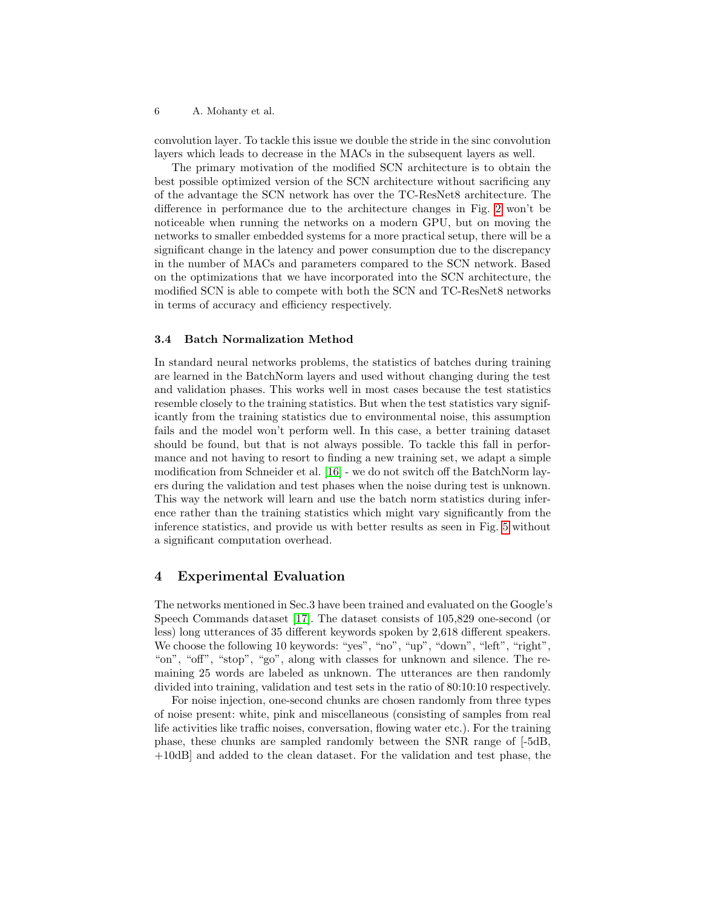convolution layer. To tackle this issue we double the stride in the sinc convolution layers which leads to decrease in the MACs in the subsequent layers as well.

The primary motivation of the modified SCN architecture is to obtain the best possible optimized version of the SCN architecture without sacrificing any of the advantage the SCN network has over the TC-ResNet8 architecture. The difference in performance due to the architecture changes in Fig. [2](#page-3-0) won't be noticeable when running the networks on a modern GPU, but on moving the networks to smaller embedded systems for a more practical setup, there will be a significant change in the latency and power consumption due to the discrepancy in the number of MACs and parameters compared to the SCN network. Based on the optimizations that we have incorporated into the SCN architecture, the modified SCN is able to compete with both the SCN and TC-ResNet8 networks in terms of accuracy and efficiency respectively.

### 3.4 Batch Normalization Method

In standard neural networks problems, the statistics of batches during training are learned in the BatchNorm layers and used without changing during the test and validation phases. This works well in most cases because the test statistics resemble closely to the training statistics. But when the test statistics vary significantly from the training statistics due to environmental noise, this assumption fails and the model won't perform well. In this case, a better training dataset should be found, but that is not always possible. To tackle this fall in performance and not having to resort to finding a new training set, we adapt a simple modification from Schneider et al. [\[16\]](#page-10-4) - we do not switch off the BatchNorm layers during the validation and test phases when the noise during test is unknown. This way the network will learn and use the batch norm statistics during inference rather than the training statistics which might vary significantly from the inference statistics, and provide us with better results as seen in Fig. [5](#page-8-0) without a significant computation overhead.

#### 4 Experimental Evaluation

The networks mentioned in Sec.3 have been trained and evaluated on the Google's Speech Commands dataset [\[17\]](#page-10-2). The dataset consists of 105,829 one-second (or less) long utterances of 35 different keywords spoken by 2,618 different speakers. We choose the following 10 keywords: "yes", "no", "up", "down", "left", "right", "on", "off", "stop", "go", along with classes for unknown and silence. The remaining 25 words are labeled as unknown. The utterances are then randomly divided into training, validation and test sets in the ratio of 80:10:10 respectively.

For noise injection, one-second chunks are chosen randomly from three types of noise present: white, pink and miscellaneous (consisting of samples from real life activities like traffic noises, conversation, flowing water etc.). For the training phase, these chunks are sampled randomly between the SNR range of [-5dB, +10dB] and added to the clean dataset. For the validation and test phase, the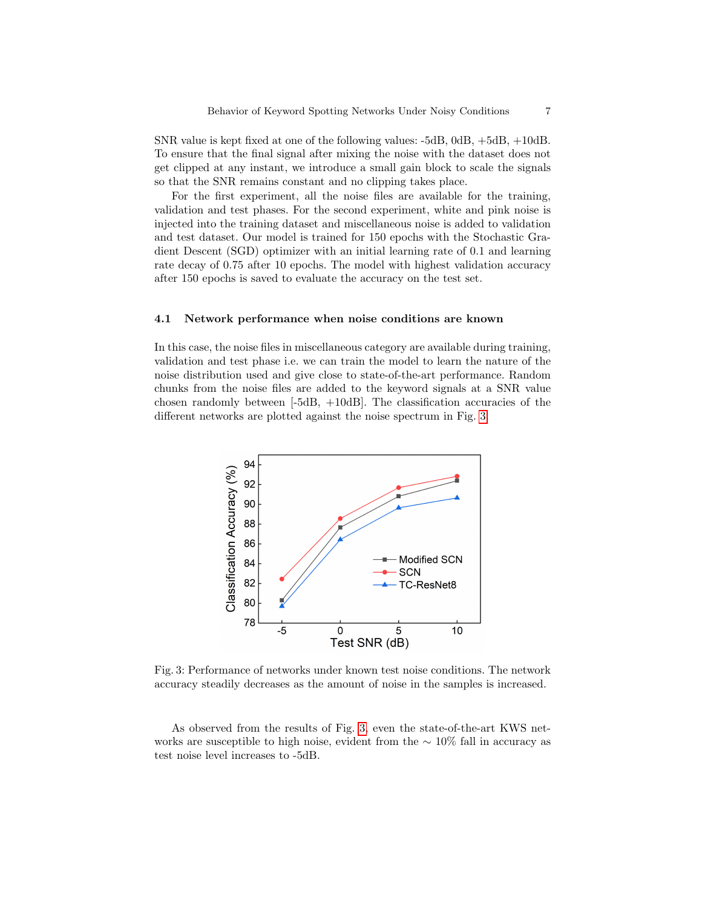SNR value is kept fixed at one of the following values: -5dB, 0dB, +5dB, +10dB. To ensure that the final signal after mixing the noise with the dataset does not get clipped at any instant, we introduce a small gain block to scale the signals so that the SNR remains constant and no clipping takes place.

For the first experiment, all the noise files are available for the training, validation and test phases. For the second experiment, white and pink noise is injected into the training dataset and miscellaneous noise is added to validation and test dataset. Our model is trained for 150 epochs with the Stochastic Gradient Descent (SGD) optimizer with an initial learning rate of 0.1 and learning rate decay of 0.75 after 10 epochs. The model with highest validation accuracy after 150 epochs is saved to evaluate the accuracy on the test set.

#### 4.1 Network performance when noise conditions are known

In this case, the noise files in miscellaneous category are available during training, validation and test phase i.e. we can train the model to learn the nature of the noise distribution used and give close to state-of-the-art performance. Random chunks from the noise files are added to the keyword signals at a SNR value chosen randomly between  $[-5dB, +10dB]$ . The classification accuracies of the different networks are plotted against the noise spectrum in Fig. [3.](#page-6-0)

<span id="page-6-0"></span>

Fig. 3: Performance of networks under known test noise conditions. The network accuracy steadily decreases as the amount of noise in the samples is increased.

As observed from the results of Fig. [3,](#page-6-0) even the state-of-the-art KWS networks are susceptible to high noise, evident from the  $\sim 10\%$  fall in accuracy as test noise level increases to -5dB.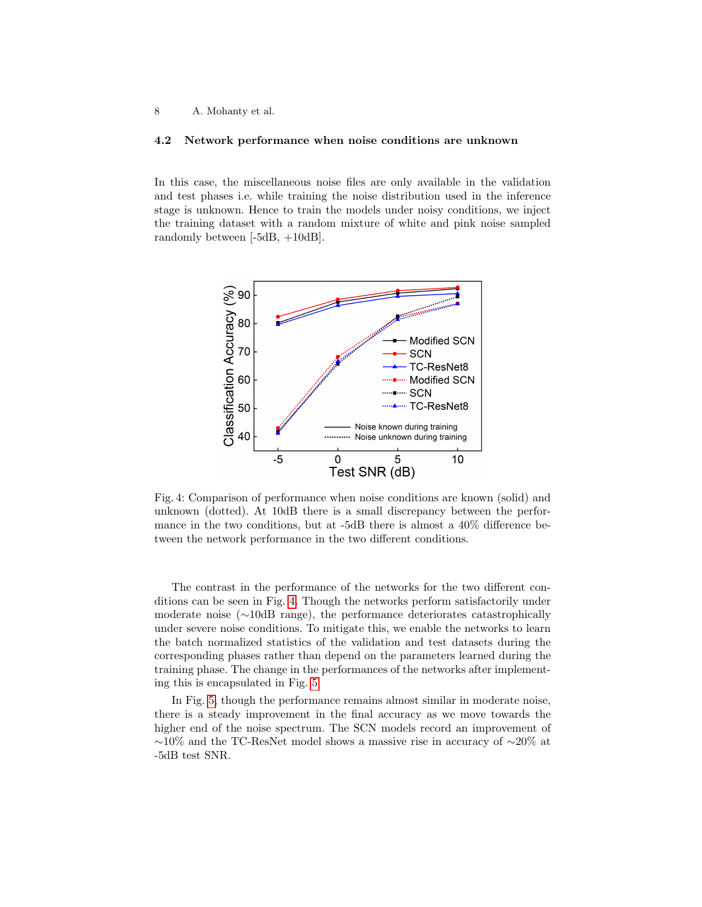#### 4.2 Network performance when noise conditions are unknown

In this case, the miscellaneous noise files are only available in the validation and test phases i.e. while training the noise distribution used in the inference stage is unknown. Hence to train the models under noisy conditions, we inject the training dataset with a random mixture of white and pink noise sampled randomly between [-5dB, +10dB].

<span id="page-7-0"></span>

Fig. 4: Comparison of performance when noise conditions are known (solid) and unknown (dotted). At 10dB there is a small discrepancy between the performance in the two conditions, but at -5dB there is almost a 40% difference between the network performance in the two different conditions.

The contrast in the performance of the networks for the two different conditions can be seen in Fig. [4.](#page-7-0) Though the networks perform satisfactorily under moderate noise (∼10dB range), the performance deteriorates catastrophically under severe noise conditions. To mitigate this, we enable the networks to learn the batch normalized statistics of the validation and test datasets during the corresponding phases rather than depend on the parameters learned during the training phase. The change in the performances of the networks after implementing this is encapsulated in Fig. [5.](#page-8-0)

In Fig. [5,](#page-8-0) though the performance remains almost similar in moderate noise, there is a steady improvement in the final accuracy as we move towards the higher end of the noise spectrum. The SCN models record an improvement of ∼10% and the TC-ResNet model shows a massive rise in accuracy of ∼20% at -5dB test SNR.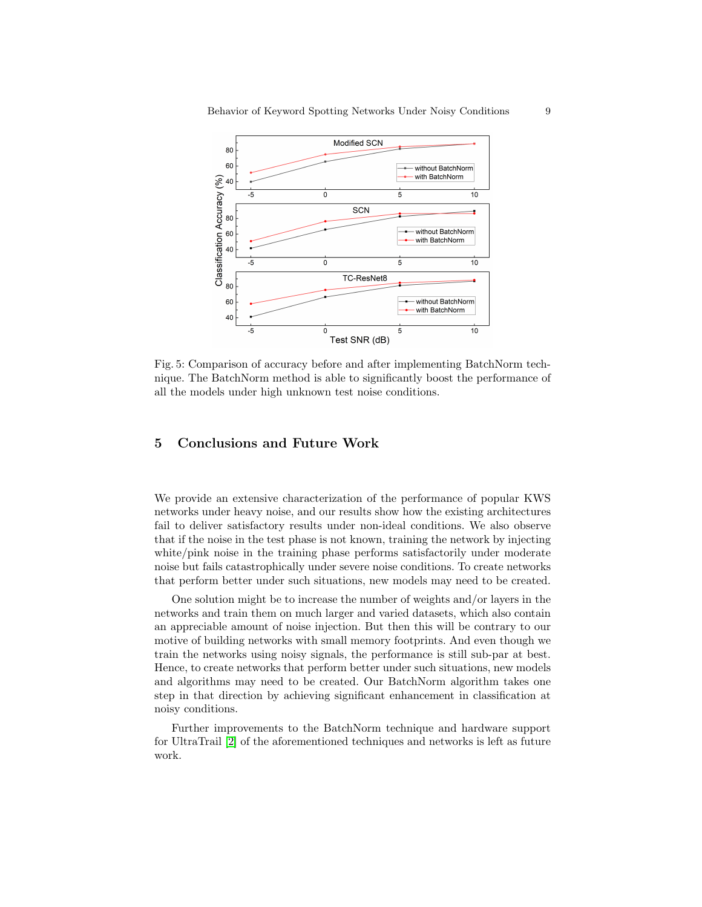<span id="page-8-0"></span>

Fig. 5: Comparison of accuracy before and after implementing BatchNorm technique. The BatchNorm method is able to significantly boost the performance of all the models under high unknown test noise conditions.

# 5 Conclusions and Future Work

We provide an extensive characterization of the performance of popular KWS networks under heavy noise, and our results show how the existing architectures fail to deliver satisfactory results under non-ideal conditions. We also observe that if the noise in the test phase is not known, training the network by injecting white/pink noise in the training phase performs satisfactorily under moderate noise but fails catastrophically under severe noise conditions. To create networks that perform better under such situations, new models may need to be created.

One solution might be to increase the number of weights and/or layers in the networks and train them on much larger and varied datasets, which also contain an appreciable amount of noise injection. But then this will be contrary to our motive of building networks with small memory footprints. And even though we train the networks using noisy signals, the performance is still sub-par at best. Hence, to create networks that perform better under such situations, new models and algorithms may need to be created. Our BatchNorm algorithm takes one step in that direction by achieving significant enhancement in classification at noisy conditions.

Further improvements to the BatchNorm technique and hardware support for UltraTrail [\[2\]](#page-9-12) of the aforementioned techniques and networks is left as future work.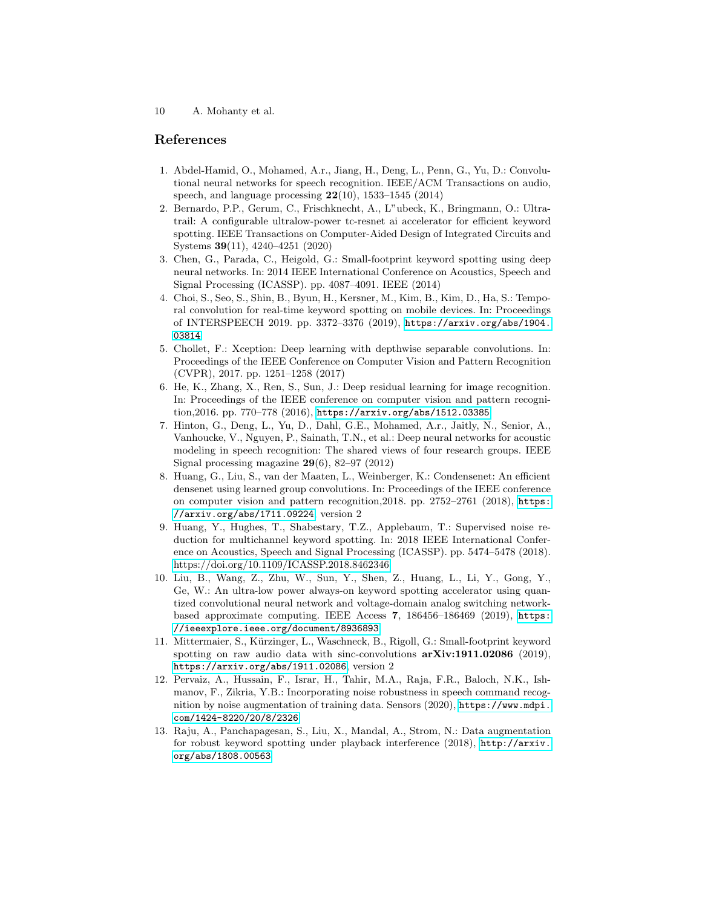## References

- <span id="page-9-0"></span>1. Abdel-Hamid, O., Mohamed, A.r., Jiang, H., Deng, L., Penn, G., Yu, D.: Convolutional neural networks for speech recognition. IEEE/ACM Transactions on audio, speech, and language processing  $22(10)$ , 1533–1545 (2014)
- <span id="page-9-12"></span>2. Bernardo, P.P., Gerum, C., Frischknecht, A., L"ubeck, K., Bringmann, O.: Ultratrail: A configurable ultralow-power tc-resnet ai accelerator for efficient keyword spotting. IEEE Transactions on Computer-Aided Design of Integrated Circuits and Systems 39(11), 4240–4251 (2020)
- <span id="page-9-1"></span>3. Chen, G., Parada, C., Heigold, G.: Small-footprint keyword spotting using deep neural networks. In: 2014 IEEE International Conference on Acoustics, Speech and Signal Processing (ICASSP). pp. 4087–4091. IEEE (2014)
- <span id="page-9-3"></span>4. Choi, S., Seo, S., Shin, B., Byun, H., Kersner, M., Kim, B., Kim, D., Ha, S.: Temporal convolution for real-time keyword spotting on mobile devices. In: Proceedings of INTERSPEECH 2019. pp. 3372–3376 (2019), [https://arxiv.org/abs/1904.](https://arxiv.org/abs/1904.03814) [03814](https://arxiv.org/abs/1904.03814)
- <span id="page-9-5"></span>5. Chollet, F.: Xception: Deep learning with depthwise separable convolutions. In: Proceedings of the IEEE Conference on Computer Vision and Pattern Recognition (CVPR), 2017. pp. 1251–1258 (2017)
- <span id="page-9-10"></span>6. He, K., Zhang, X., Ren, S., Sun, J.: Deep residual learning for image recognition. In: Proceedings of the IEEE conference on computer vision and pattern recognition,2016. pp. 770–778 (2016), <https://arxiv.org/abs/1512.03385>
- <span id="page-9-2"></span>7. Hinton, G., Deng, L., Yu, D., Dahl, G.E., Mohamed, A.r., Jaitly, N., Senior, A., Vanhoucke, V., Nguyen, P., Sainath, T.N., et al.: Deep neural networks for acoustic modeling in speech recognition: The shared views of four research groups. IEEE Signal processing magazine  $29(6)$ , 82–97 (2012)
- <span id="page-9-11"></span>8. Huang, G., Liu, S., van der Maaten, L., Weinberger, K.: Condensenet: An efficient densenet using learned group convolutions. In: Proceedings of the IEEE conference on computer vision and pattern recognition,2018. pp. 2752–2761 (2018), [https:](https://arxiv.org/abs/1711.09224) [//arxiv.org/abs/1711.09224](https://arxiv.org/abs/1711.09224), version 2
- <span id="page-9-7"></span>9. Huang, Y., Hughes, T., Shabestary, T.Z., Applebaum, T.: Supervised noise reduction for multichannel keyword spotting. In: 2018 IEEE International Conference on Acoustics, Speech and Signal Processing (ICASSP). pp. 5474–5478 (2018). <https://doi.org/10.1109/ICASSP.2018.8462346>
- <span id="page-9-6"></span>10. Liu, B., Wang, Z., Zhu, W., Sun, Y., Shen, Z., Huang, L., Li, Y., Gong, Y., Ge, W.: An ultra-low power always-on keyword spotting accelerator using quantized convolutional neural network and voltage-domain analog switching networkbased approximate computing. IEEE Access 7, 186456–186469 (2019), [https:](https://ieeexplore.ieee.org/document/8936893) [//ieeexplore.ieee.org/document/8936893](https://ieeexplore.ieee.org/document/8936893)
- <span id="page-9-4"></span>11. Mittermaier, S., Kürzinger, L., Waschneck, B., Rigoll, G.: Small-footprint keyword spotting on raw audio data with sinc-convolutions  $arXiv:1911.02086$  (2019), <https://arxiv.org/abs/1911.02086>, version 2
- <span id="page-9-9"></span>12. Pervaiz, A., Hussain, F., Israr, H., Tahir, M.A., Raja, F.R., Baloch, N.K., Ishmanov, F., Zikria, Y.B.: Incorporating noise robustness in speech command recognition by noise augmentation of training data. Sensors (2020), [https://www.mdpi.](https://www.mdpi.com/1424-8220/20/8/2326) [com/1424-8220/20/8/2326](https://www.mdpi.com/1424-8220/20/8/2326)
- <span id="page-9-8"></span>13. Raju, A., Panchapagesan, S., Liu, X., Mandal, A., Strom, N.: Data augmentation for robust keyword spotting under playback interference (2018), [http://arxiv.](http://arxiv.org/abs/1808.00563) [org/abs/1808.00563](http://arxiv.org/abs/1808.00563)